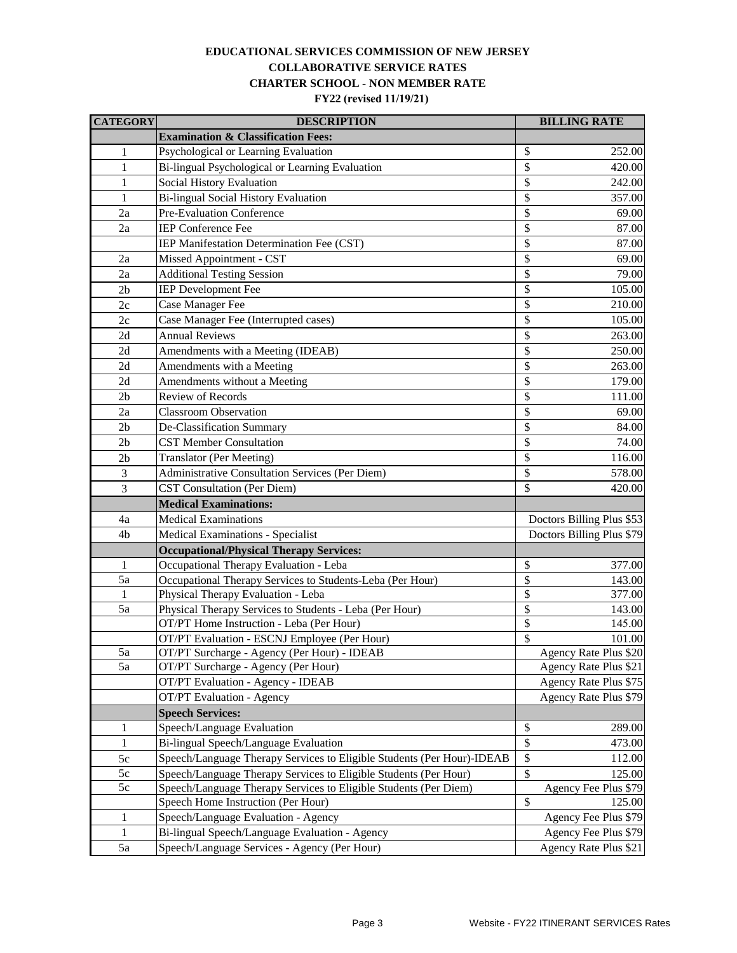## **COLLABORATIVE SERVICE RATES CHARTER SCHOOL - NON MEMBER RATE FY22 (revised 11/19/21) EDUCATIONAL SERVICES COMMISSION OF NEW JERSEY**

| <b>CATEGORY</b> | <b>DESCRIPTION</b>                                                     | <b>BILLING RATE</b>       |  |
|-----------------|------------------------------------------------------------------------|---------------------------|--|
|                 | <b>Examination &amp; Classification Fees:</b>                          |                           |  |
| $\mathbf{1}$    | Psychological or Learning Evaluation                                   | \$<br>252.00              |  |
| $\mathbf{1}$    | Bi-lingual Psychological or Learning Evaluation                        | \$<br>420.00              |  |
| 1               | Social History Evaluation                                              | \$<br>242.00              |  |
| 1               | Bi-lingual Social History Evaluation                                   | \$<br>357.00              |  |
| 2a              | Pre-Evaluation Conference                                              | \$<br>69.00               |  |
| 2a              | <b>IEP Conference Fee</b>                                              | \$<br>87.00               |  |
|                 | IEP Manifestation Determination Fee (CST)                              | \$<br>87.00               |  |
| 2a              | Missed Appointment - CST                                               | \$<br>69.00               |  |
| 2a              | <b>Additional Testing Session</b>                                      | \$<br>79.00               |  |
| 2 <sub>b</sub>  | <b>IEP</b> Development Fee                                             | \$<br>105.00              |  |
| 2c              | Case Manager Fee                                                       | \$<br>210.00              |  |
| 2c              | Case Manager Fee (Interrupted cases)                                   | \$<br>105.00              |  |
| 2d              | <b>Annual Reviews</b>                                                  | \$<br>263.00              |  |
| 2d              | Amendments with a Meeting (IDEAB)                                      | \$<br>250.00              |  |
| 2d              | Amendments with a Meeting                                              | \$<br>263.00              |  |
| 2d              | Amendments without a Meeting                                           | \$<br>179.00              |  |
| 2 <sub>b</sub>  | <b>Review of Records</b>                                               | \$<br>111.00              |  |
| 2a              | <b>Classroom</b> Observation                                           | \$<br>69.00               |  |
| 2b              | De-Classification Summary                                              | \$<br>84.00               |  |
| 2 <sub>b</sub>  | <b>CST Member Consultation</b>                                         | \$<br>74.00               |  |
| 2 <sub>b</sub>  | <b>Translator (Per Meeting)</b>                                        | \$<br>116.00              |  |
| 3               | <b>Administrative Consultation Services (Per Diem)</b>                 | \$<br>578.00              |  |
| 3               | <b>CST Consultation (Per Diem)</b>                                     | \$<br>420.00              |  |
|                 | <b>Medical Examinations:</b>                                           |                           |  |
| 4a              | <b>Medical Examinations</b>                                            | Doctors Billing Plus \$53 |  |
| 4b              | <b>Medical Examinations - Specialist</b>                               | Doctors Billing Plus \$79 |  |
|                 | <b>Occupational/Physical Therapy Services:</b>                         |                           |  |
| $\mathbf{1}$    | Occupational Therapy Evaluation - Leba                                 | \$<br>377.00              |  |
| 5a              | Occupational Therapy Services to Students-Leba (Per Hour)              | \$<br>143.00              |  |
| 1               | Physical Therapy Evaluation - Leba                                     | \$<br>377.00              |  |
| 5a              | Physical Therapy Services to Students - Leba (Per Hour)                | \$<br>143.00              |  |
|                 | OT/PT Home Instruction - Leba (Per Hour)                               | \$<br>145.00              |  |
|                 | OT/PT Evaluation - ESCNJ Employee (Per Hour)                           | \$<br>101.00              |  |
| 5a              | OT/PT Surcharge - Agency (Per Hour) - IDEAB                            | Agency Rate Plus \$20     |  |
| 5a              | OT/PT Surcharge - Agency (Per Hour)                                    | Agency Rate Plus \$21     |  |
|                 | OT/PT Evaluation - Agency - IDEAB                                      | Agency Rate Plus \$75     |  |
|                 | <b>OT/PT</b> Evaluation - Agency                                       | Agency Rate Plus \$79     |  |
|                 | <b>Speech Services:</b>                                                |                           |  |
| 1               | Speech/Language Evaluation                                             | \$<br>289.00              |  |
| $\mathbf{1}$    | Bi-lingual Speech/Language Evaluation                                  | \$<br>473.00              |  |
| 5c              | Speech/Language Therapy Services to Eligible Students (Per Hour)-IDEAB | \$<br>112.00              |  |
| 5c              | Speech/Language Therapy Services to Eligible Students (Per Hour)       | \$<br>125.00              |  |
| 5c              | Speech/Language Therapy Services to Eligible Students (Per Diem)       | Agency Fee Plus \$79      |  |
|                 | Speech Home Instruction (Per Hour)                                     | $\mathsf{\$}$<br>125.00   |  |
| 1               | Speech/Language Evaluation - Agency                                    | Agency Fee Plus \$79      |  |
| $\mathbf{1}$    | Bi-lingual Speech/Language Evaluation - Agency                         | Agency Fee Plus \$79      |  |
| 5a              | Speech/Language Services - Agency (Per Hour)                           | Agency Rate Plus \$21     |  |